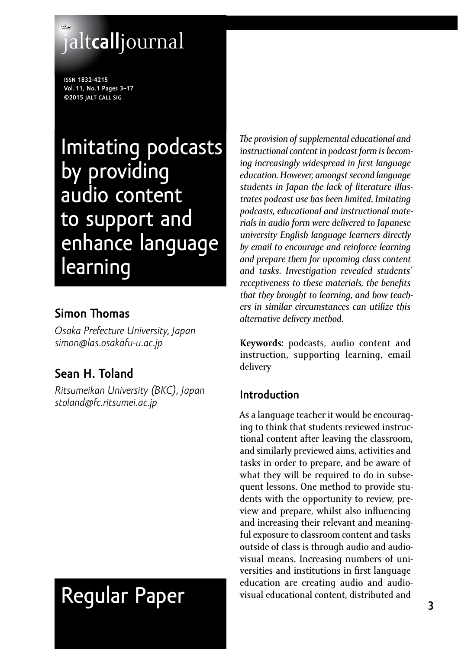## **the** jalt**call**journal

**issn 1832-4215 Vol. 11, No.1 Pages 3–17 ©2015 jalt call sig**

## Imitating podcasts by providing audio content to support and enhance language **learning**

## **Simon Thomas**

*Osaka Prefecture University, Japan [simon@las.osakafu-u.ac.jp](mailto:simon@las.osakafu-u.ac.jp)* 

## **Sean H. Toland**

*Ritsumeikan University (BKC), Japan [stoland@fc.ritsumei.ac.jp](mailto:stoland@fc.ritsumei.ac.jp)*

# Regular Paper

*The provision of supplemental educational and instructional content in podcast form is becoming increasingly widespread in first language education. However, amongst second language students in Japan the lack of literature illustrates podcast use has been limited. Imitating podcasts, educational and instructional materials in audio form were delivered to Japanese university English language learners directly by email to encourage and reinforce learning and prepare them for upcoming class content and tasks. Investigation revealed students' receptiveness to these materials, the benefits that they brought to learning, and how teachers in similar circumstances can utilize this alternative delivery method.*

**Keywords:** podcasts, audio content and instruction, supporting learning, email delivery

## **Introduction**

As a language teacher it would be encouraging to think that students reviewed instructional content after leaving the classroom, and similarly previewed aims, activities and tasks in order to prepare, and be aware of what they will be required to do in subsequent lessons. One method to provide students with the opportunity to review, preview and prepare, whilst also influencing and increasing their relevant and meaningful exposure to classroom content and tasks outside of class is through audio and audiovisual means. Increasing numbers of universities and institutions in first language education are creating audio and audiovisual educational content, distributed and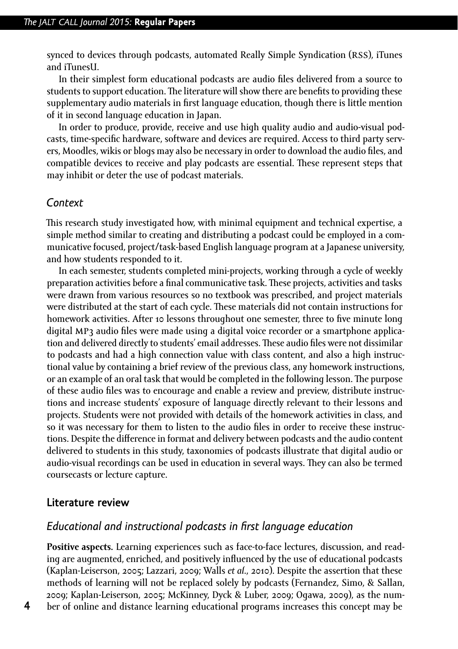synced to devices through podcasts, automated Really Simple Syndication (RSS), iTunes and iTunesU.

In their simplest form educational podcasts are audio files delivered from a source to students to support education. The literature will show there are benefits to providing these supplementary audio materials in first language education, though there is little mention of it in second language education in Japan.

In order to produce, provide, receive and use high quality audio and audio-visual podcasts, time-specific hardware, software and devices are required. Access to third party servers, Moodles, wikis or blogs may also be necessary in order to download the audio files, and compatible devices to receive and play podcasts are essential. These represent steps that may inhibit or deter the use of podcast materials.

#### *Context*

This research study investigated how, with minimal equipment and technical expertise, a simple method similar to creating and distributing a podcast could be employed in a communicative focused, project/task-based English language program at a Japanese university, and how students responded to it.

In each semester, students completed mini-projects, working through a cycle of weekly preparation activities before a final communicative task. These projects, activities and tasks were drawn from various resources so no textbook was prescribed, and project materials were distributed at the start of each cycle. These materials did not contain instructions for homework activities. After 10 lessons throughout one semester, three to five minute long digital MP3 audio files were made using a digital voice recorder or a smartphone application and delivered directly to students' email addresses. These audio files were not dissimilar to podcasts and had a high connection value with class content, and also a high instructional value by containing a brief review of the previous class, any homework instructions, or an example of an oral task that would be completed in the following lesson. The purpose of these audio files was to encourage and enable a review and preview, distribute instructions and increase students' exposure of language directly relevant to their lessons and projects. Students were not provided with details of the homework activities in class, and so it was necessary for them to listen to the audio files in order to receive these instructions. Despite the difference in format and delivery between podcasts and the audio content delivered to students in this study, taxonomies of podcasts illustrate that digital audio or audio-visual recordings can be used in education in several ways. They can also be termed coursecasts or lecture capture.

#### **Literature review**

#### *Educational and instructional podcasts in first language education*

**Positive aspects.** Learning experiences such as face-to-face lectures, discussion, and reading are augmented, enriched, and positively influenced by the use of educational podcasts (Kaplan-Leiserson, 2005; Lazzari, 2009; Walls *et al*., 2010). Despite the assertion that these methods of learning will not be replaced solely by podcasts (Fernandez, Simo, & Sallan, 2009; Kaplan-Leiserson, 2005; McKinney, Dyck & Luber, 2009; Ogawa, 2009), as the number of online and distance learning educational programs increases this concept may be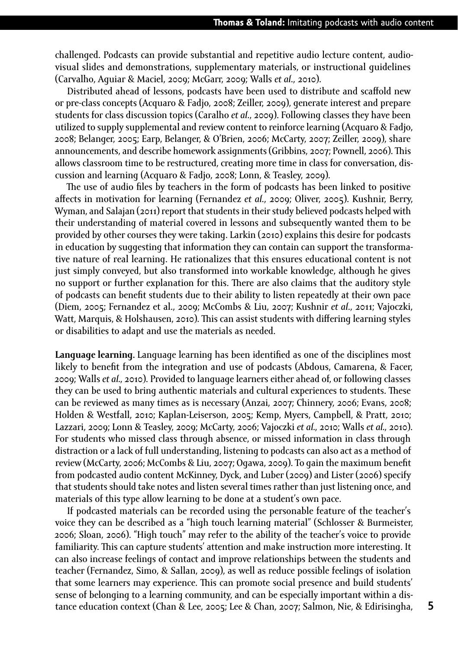challenged. Podcasts can provide substantial and repetitive audio lecture content, audiovisual slides and demonstrations, supplementary materials, or instructional guidelines (Carvalho, Aguiar & Maciel, 2009; McGarr, 2009; Walls *et al*., 2010).

Distributed ahead of lessons, podcasts have been used to distribute and scaffold new or pre-class concepts (Acquaro & Fadjo, 2008; Zeiller, 2009), generate interest and prepare students for class discussion topics (Caralho *et al*., 2009). Following classes they have been utilized to supply supplemental and review content to reinforce learning (Acquaro & Fadjo, 2008; Belanger, 2005; Earp, Belanger, & O'Brien, 2006; McCarty, 2007; Zeiller, 2009), share announcements, and describe homework assignments (Gribbins, 2007; Pownell, 2006). This allows classroom time to be restructured, creating more time in class for conversation, discussion and learning (Acquaro & Fadjo, 2008; Lonn, & Teasley, 2009).

The use of audio files by teachers in the form of podcasts has been linked to positive affects in motivation for learning (Fernandez *et al*., 2009; Oliver, 2005). Kushnir, Berry, Wyman, and Salajan (2011) report that students in their study believed podcasts helped with their understanding of material covered in lessons and subsequently wanted them to be provided by other courses they were taking. Larkin (2010) explains this desire for podcasts in education by suggesting that information they can contain can support the transformative nature of real learning. He rationalizes that this ensures educational content is not just simply conveyed, but also transformed into workable knowledge, although he gives no support or further explanation for this. There are also claims that the auditory style of podcasts can benefit students due to their ability to listen repeatedly at their own pace (Diem, 2005; Fernandez et al., 2009; McCombs & Liu, 2007; Kushnir *et al*., 2011; Vajoczki, Watt, Marquis, & Holshausen, 2010). This can assist students with differing learning styles or disabilities to adapt and use the materials as needed.

**Language learning.** Language learning has been identified as one of the disciplines most likely to benefit from the integration and use of podcasts (Abdous, Camarena, & Facer, 2009; Walls *et al.*, 2010). Provided to language learners either ahead of, or following classes they can be used to bring authentic materials and cultural experiences to students. These can be reviewed as many times as is necessary (Anzai, 2007; Chinnery, 2006; Evans, 2008; Holden & Westfall, 2010; Kaplan-Leiserson, 2005; Kemp, Myers, Campbell, & Pratt, 2010; Lazzari, 2009; Lonn & Teasley, 2009; McCarty, 2006; Vajoczki *et al.*, 2010; Walls *et al.*, 2010). For students who missed class through absence, or missed information in class through distraction or a lack of full understanding, listening to podcasts can also act as a method of review (McCarty, 2006; McCombs & Liu, 2007; Ogawa, 2009). To gain the maximum benefit from podcasted audio content McKinney, Dyck, and Luber (2009) and Lister (2006) specify that students should take notes and listen several times rather than just listening once, and materials of this type allow learning to be done at a student's own pace.

If podcasted materials can be recorded using the personable feature of the teacher's voice they can be described as a "high touch learning material" (Schlosser & Burmeister, 2006; Sloan, 2006). "High touch" may refer to the ability of the teacher's voice to provide familiarity. This can capture students' attention and make instruction more interesting. It can also increase feelings of contact and improve relationships between the students and teacher (Fernandez, Simo, & Sallan, 2009), as well as reduce possible feelings of isolation that some learners may experience. This can promote social presence and build students' sense of belonging to a learning community, and can be especially important within a distance education context (Chan & Lee, 2005; Lee & Chan, 2007; Salmon, Nie, & Edirisingha,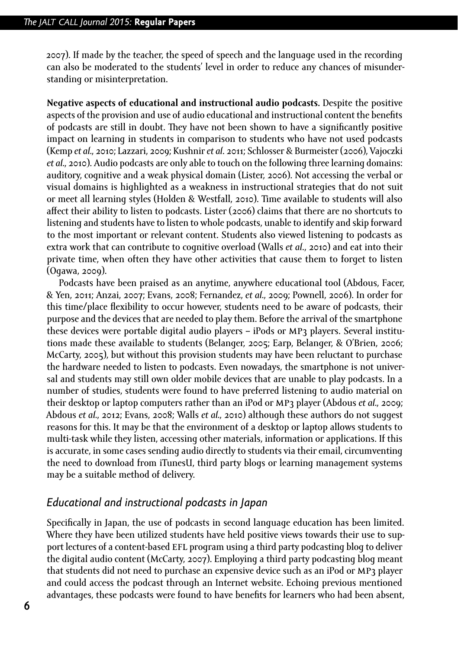2007). If made by the teacher, the speed of speech and the language used in the recording can also be moderated to the students' level in order to reduce any chances of misunderstanding or misinterpretation.

**Negative aspects of educational and instructional audio podcasts.** Despite the positive aspects of the provision and use of audio educational and instructional content the benefits of podcasts are still in doubt. They have not been shown to have a significantly positive impact on learning in students in comparison to students who have not used podcasts (Kemp *et al.*, 2010; Lazzari, 2009; Kushnir *et al*. 2011; Schlosser & Burmeister (2006), Vajoczki *et al.*, 2010). Audio podcasts are only able to touch on the following three learning domains: auditory, cognitive and a weak physical domain (Lister, 2006). Not accessing the verbal or visual domains is highlighted as a weakness in instructional strategies that do not suit or meet all learning styles (Holden & Westfall, 2010). Time available to students will also affect their ability to listen to podcasts. Lister (2006) claims that there are no shortcuts to listening and students have to listen to whole podcasts, unable to identify and skip forward to the most important or relevant content. Students also viewed listening to podcasts as extra work that can contribute to cognitive overload (Walls *et al*., 2010) and eat into their private time, when often they have other activities that cause them to forget to listen (Ogawa, 2009).

Podcasts have been praised as an anytime, anywhere educational tool (Abdous, Facer, & Yen, 2011; Anzai, 2007; Evans, 2008; Fernandez, *et al.*, 2009; Pownell, 2006). In order for this time/place flexibility to occur however, students need to be aware of podcasts, their purpose and the devices that are needed to play them. Before the arrival of the smartphone these devices were portable digital audio players – iPods or MP3 players. Several institutions made these available to students (Belanger, 2005; Earp, Belanger, & O'Brien, 2006; McCarty, 2005), but without this provision students may have been reluctant to purchase the hardware needed to listen to podcasts. Even nowadays, the smartphone is not universal and students may still own older mobile devices that are unable to play podcasts. In a number of studies, students were found to have preferred listening to audio material on their desktop or laptop computers rather than an iPod or MP<sub>3</sub> player (Abdous *et al.*, 2009; Abdous *et al.*, 2012; Evans, 2008; Walls *et al.*, 2010) although these authors do not suggest reasons for this. It may be that the environment of a desktop or laptop allows students to multi-task while they listen, accessing other materials, information or applications. If this is accurate, in some cases sending audio directly to students via their email, circumventing the need to download from iTunesU, third party blogs or learning management systems may be a suitable method of delivery.

#### *Educational and instructional podcasts in Japan*

Specifically in Japan, the use of podcasts in second language education has been limited. Where they have been utilized students have held positive views towards their use to support lectures of a content-based EFL program using a third party podcasting blog to deliver the digital audio content (McCarty, 2007). Employing a third party podcasting blog meant that students did not need to purchase an expensive device such as an iPod or MP3 player and could access the podcast through an Internet website. Echoing previous mentioned advantages, these podcasts were found to have benefits for learners who had been absent,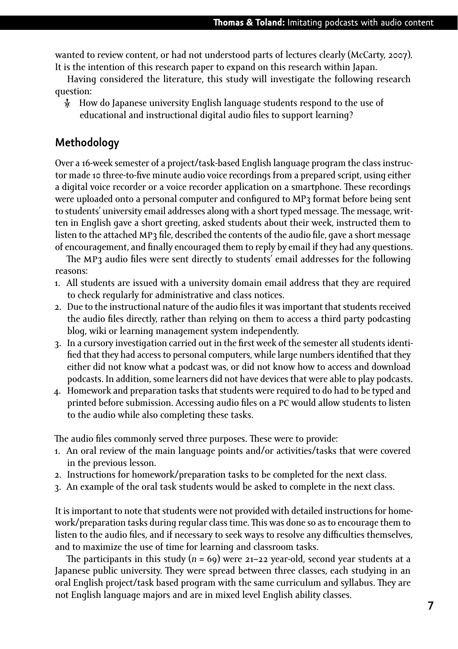wanted to review content, or had not understood parts of lectures clearly (McCarty, 2007). It is the intention of this research paper to expand on this research within Japan.

Having considered the literature, this study will investigate the following research question:

Ȼ How do Japanese university English language students respond to the use of educational and instructional digital audio files to support learning?

#### **Methodology**

Over a 16-week semester of a project/task-based English language program the class instructor made 10 three-to-five minute audio voice recordings from a prepared script, using either a digital voice recorder or a voice recorder application on a smartphone. These recordings were uploaded onto a personal computer and configured to MP3 format before being sent to students' university email addresses along with a short typed message. The message, written in English gave a short greeting, asked students about their week, instructed them to listen to the attached MP3 file, described the contents of the audio file, gave a short message of encouragement, and finally encouraged them to reply by email if they had any questions.

The MP<sub>3</sub> audio files were sent directly to students' email addresses for the following reasons:

- 1. All students are issued with a university domain email address that they are required to check regularly for administrative and class notices.
- 2. Due to the instructional nature of the audio files it was important that students received the audio files directly, rather than relying on them to access a third party podcasting blog, wiki or learning management system independently.
- 3. In a cursory investigation carried out in the first week of the semester all students identified that they had access to personal computers, while large numbers identified that they either did not know what a podcast was, or did not know how to access and download podcasts. In addition, some learners did not have devices that were able to play podcasts.
- 4. Homework and preparation tasks that students were required to do had to be typed and printed before submission. Accessing audio files on a pc would allow students to listen to the audio while also completing these tasks.

The audio files commonly served three purposes. These were to provide:

- 1. An oral review of the main language points and/or activities/tasks that were covered in the previous lesson.
- 2. Instructions for homework/preparation tasks to be completed for the next class.
- 3. An example of the oral task students would be asked to complete in the next class.

It is important to note that students were not provided with detailed instructions for homework/preparation tasks during regular class time. This was done so as to encourage them to listen to the audio files, and if necessary to seek ways to resolve any difficulties themselves, and to maximize the use of time for learning and classroom tasks.

The participants in this study  $(n = 69)$  were 21–22 year-old, second year students at a Japanese public university. They were spread between three classes, each studying in an oral English project/task based program with the same curriculum and syllabus. They are not English language majors and are in mixed level English ability classes.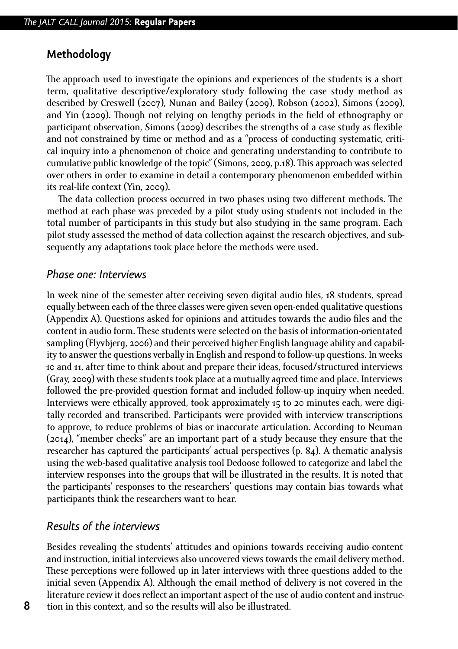#### **Methodology**

The approach used to investigate the opinions and experiences of the students is a short term, qualitative descriptive/exploratory study following the case study method as described by Creswell (2007), Nunan and Bailey (2009), Robson (2002), Simons (2009), and Yin (2009). Though not relying on lengthy periods in the field of ethnography or participant observation, Simons (2009) describes the strengths of a case study as flexible and not constrained by time or method and as a "process of conducting systematic, critical inquiry into a phenomenon of choice and generating understanding to contribute to cumulative public knowledge of the topic" (Simons, 2009, p.18). This approach was selected over others in order to examine in detail a contemporary phenomenon embedded within its real-life context (Yin, 2009).

The data collection process occurred in two phases using two different methods. The method at each phase was preceded by a pilot study using students not included in the total number of participants in this study but also studying in the same program. Each pilot study assessed the method of data collection against the research objectives, and subsequently any adaptations took place before the methods were used.

#### *Phase one: Interviews*

In week nine of the semester after receiving seven digital audio files, 18 students, spread equally between each of the three classes were given seven open-ended qualitative questions (Appendix A). Questions asked for opinions and attitudes towards the audio files and the content in audio form. These students were selected on the basis of information-orientated sampling (Flyvbjerg, 2006) and their perceived higher English language ability and capability to answer the questions verbally in English and respond to follow-up questions. In weeks 10 and 11, after time to think about and prepare their ideas, focused/structured interviews (Gray, 2009) with these students took place at a mutually agreed time and place. Interviews followed the pre-provided question format and included follow-up inquiry when needed. Interviews were ethically approved, took approximately 15 to 20 minutes each, were digitally recorded and transcribed. Participants were provided with interview transcriptions to approve, to reduce problems of bias or inaccurate articulation. According to Neuman (2014), "member checks" are an important part of a study because they ensure that the researcher has captured the participants' actual perspectives (p. 84). A thematic analysis using the web-based qualitative analysis tool Dedoose followed to categorize and label the interview responses into the groups that will be illustrated in the results. It is noted that the participants' responses to the researchers' questions may contain bias towards what participants think the researchers want to hear.

#### *Results of the interviews*

Besides revealing the students' attitudes and opinions towards receiving audio content and instruction, initial interviews also uncovered views towards the email delivery method. These perceptions were followed up in later interviews with three questions added to the initial seven (Appendix A). Although the email method of delivery is not covered in the literature review it does reflect an important aspect of the use of audio content and instruction in this context, and so the results will also be illustrated.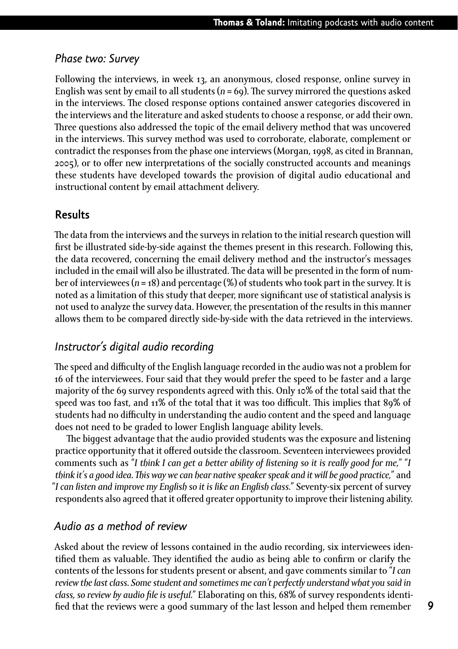#### *Phase two: Survey*

Following the interviews, in week 13, an anonymous, closed response, online survey in English was sent by email to all students  $(n = 69)$ . The survey mirrored the questions asked in the interviews. The closed response options contained answer categories discovered in the interviews and the literature and asked students to choose a response, or add their own. Three questions also addressed the topic of the email delivery method that was uncovered in the interviews. This survey method was used to corroborate, elaborate, complement or contradict the responses from the phase one interviews (Morgan, 1998, as cited in Brannan, 2005), or to offer new interpretations of the socially constructed accounts and meanings these students have developed towards the provision of digital audio educational and instructional content by email attachment delivery.

#### **Results**

The data from the interviews and the surveys in relation to the initial research question will first be illustrated side-by-side against the themes present in this research. Following this, the data recovered, concerning the email delivery method and the instructor's messages included in the email will also be illustrated. The data will be presented in the form of number of interviewees (*n* = 18) and percentage (%) of students who took part in the survey. It is noted as a limitation of this study that deeper, more significant use of statistical analysis is not used to analyze the survey data. However, the presentation of the results in this manner allows them to be compared directly side-by-side with the data retrieved in the interviews.

#### *Instructor's digital audio recording*

The speed and difficulty of the English language recorded in the audio was not a problem for 16 of the interviewees. Four said that they would prefer the speed to be faster and a large majority of the 69 survey respondents agreed with this. Only 10% of the total said that the speed was too fast, and 11% of the total that it was too difficult. This implies that 89% of students had no difficulty in understanding the audio content and the speed and language does not need to be graded to lower English language ability levels.

The biggest advantage that the audio provided students was the exposure and listening practice opportunity that it offered outside the classroom. Seventeen interviewees provided comments such as "*I think I can get a better ability of listening so it is really good for me,*" "*I think it's a good idea. This way we can hear native speaker speak and it will be good practice,*" and "*I can listen and improve my English so it is like an English class.*" Seventy-six percent of survey respondents also agreed that it offered greater opportunity to improve their listening ability.

#### *Audio as a method of review*

Asked about the review of lessons contained in the audio recording, six interviewees identified them as valuable. They identified the audio as being able to confirm or clarify the contents of the lessons for students present or absent, and gave comments similar to "*I can review the last class. Some student and sometimes me can't perfectly understand what you said in class, so review by audio file is useful.*" Elaborating on this, 68% of survey respondents identified that the reviews were a good summary of the last lesson and helped them remember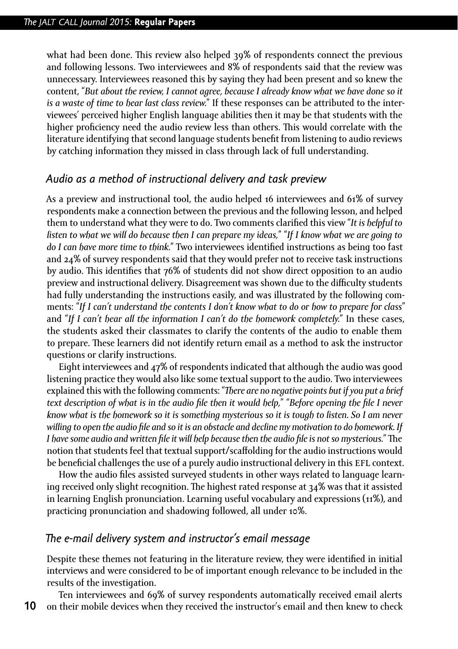what had been done. This review also helped 39% of respondents connect the previous and following lessons. Two interviewees and 8% of respondents said that the review was unnecessary. Interviewees reasoned this by saying they had been present and so knew the content, "*But about the review, I cannot agree, because I already know what we have done so it is a waste of time to hear last class review.*" If these responses can be attributed to the interviewees' perceived higher English language abilities then it may be that students with the higher proficiency need the audio review less than others. This would correlate with the literature identifying that second language students benefit from listening to audio reviews by catching information they missed in class through lack of full understanding.

#### *Audio as a method of instructional delivery and task preview*

As a preview and instructional tool, the audio helped 16 interviewees and 61% of survey respondents make a connection between the previous and the following lesson, and helped them to understand what they were to do. Two comments clarified this view "*It is helpful to listen to what we will do because then I can prepare my ideas,*" "*If I know what we are going to do I can have more time to think.*" Two interviewees identified instructions as being too fast and 24% of survey respondents said that they would prefer not to receive task instructions by audio. This identifies that 76% of students did not show direct opposition to an audio preview and instructional delivery. Disagreement was shown due to the difficulty students had fully understanding the instructions easily, and was illustrated by the following comments: "*If I can't understand the contents I don't know what to do or how to prepare for class*" and "*If I can't hear all the information I can't do the homework completely.*" In these cases, the students asked their classmates to clarify the contents of the audio to enable them to prepare. These learners did not identify return email as a method to ask the instructor questions or clarify instructions.

Eight interviewees and 47% of respondents indicated that although the audio was good listening practice they would also like some textual support to the audio. Two interviewees explained this with the following comments: "*There are no negative points but if you put a brief text description of what is in the audio file then it would help,*" "*Before opening the file I never know what is the homework so it is something mysterious so it is tough to listen. So I am never willing to open the audio file and so it is an obstacle and decline my motivation to do homework. If I have some audio and written file it will help because then the audio file is not so mysterious.*" The notion that students feel that textual support/scaffolding for the audio instructions would be beneficial challenges the use of a purely audio instructional delivery in this EFL context.

How the audio files assisted surveyed students in other ways related to language learning received only slight recognition. The highest rated response at 34% was that it assisted in learning English pronunciation. Learning useful vocabulary and expressions (11%), and practicing pronunciation and shadowing followed, all under 10%.

#### *The e-mail delivery system and instructor's email message*

Despite these themes not featuring in the literature review, they were identified in initial interviews and were considered to be of important enough relevance to be included in the results of the investigation.

Ten interviewees and 69% of survey respondents automatically received email alerts on their mobile devices when they received the instructor's email and then knew to check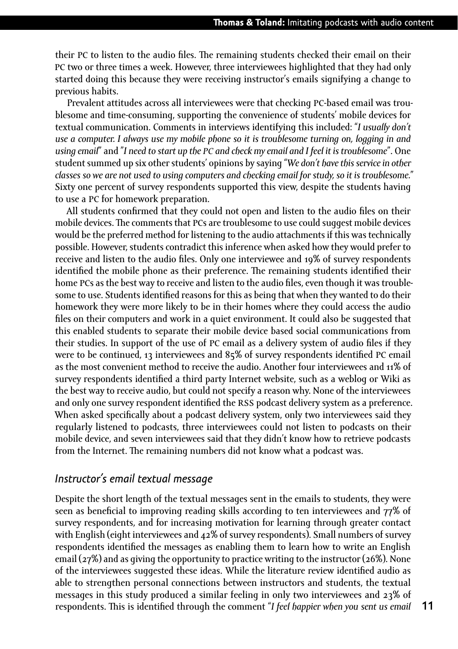their pc to listen to the audio files. The remaining students checked their email on their pc two or three times a week. However, three interviewees highlighted that they had only started doing this because they were receiving instructor's emails signifying a change to previous habits.

Prevalent attitudes across all interviewees were that checking pc-based email was troublesome and time-consuming, supporting the convenience of students' mobile devices for textual communication. Comments in interviews identifying this included: "*I usually don't use a computer. I always use my mobile phone so it is troublesome turning on, logging in and using email*" and "*I need to start up the pc and check my email and I feel it is troublesome*". One student summed up six other students' opinions by saying "*We don't have this service in other classes so we are not used to using computers and checking email for study, so it is troublesome.*" Sixty one percent of survey respondents supported this view, despite the students having to use a pc for homework preparation.

All students confirmed that they could not open and listen to the audio files on their mobile devices. The comments that PCs are troublesome to use could suggest mobile devices would be the preferred method for listening to the audio attachments if this was technically possible. However, students contradict this inference when asked how they would prefer to receive and listen to the audio files. Only one interviewee and 19% of survey respondents identified the mobile phone as their preference. The remaining students identified their home pcs as the best way to receive and listen to the audio files, even though it was troublesome to use. Students identified reasons for this as being that when they wanted to do their homework they were more likely to be in their homes where they could access the audio files on their computers and work in a quiet environment. It could also be suggested that this enabled students to separate their mobile device based social communications from their studies. In support of the use of pc email as a delivery system of audio files if they were to be continued, 13 interviewees and 85% of survey respondents identified pc email as the most convenient method to receive the audio. Another four interviewees and 11% of survey respondents identified a third party Internet website, such as a weblog or Wiki as the best way to receive audio, but could not specify a reason why. None of the interviewees and only one survey respondent identified the rss podcast delivery system as a preference. When asked specifically about a podcast delivery system, only two interviewees said they regularly listened to podcasts, three interviewees could not listen to podcasts on their mobile device, and seven interviewees said that they didn't know how to retrieve podcasts from the Internet. The remaining numbers did not know what a podcast was.

#### *Instructor's email textual message*

Despite the short length of the textual messages sent in the emails to students, they were seen as beneficial to improving reading skills according to ten interviewees and 77% of survey respondents, and for increasing motivation for learning through greater contact with English (eight interviewees and 42% of survey respondents). Small numbers of survey respondents identified the messages as enabling them to learn how to write an English email (27%) and as giving the opportunity to practice writing to the instructor (26%). None of the interviewees suggested these ideas. While the literature review identified audio as able to strengthen personal connections between instructors and students, the textual messages in this study produced a similar feeling in only two interviewees and 23% of respondents. This is identified through the comment "*I feel happier when you sent us email*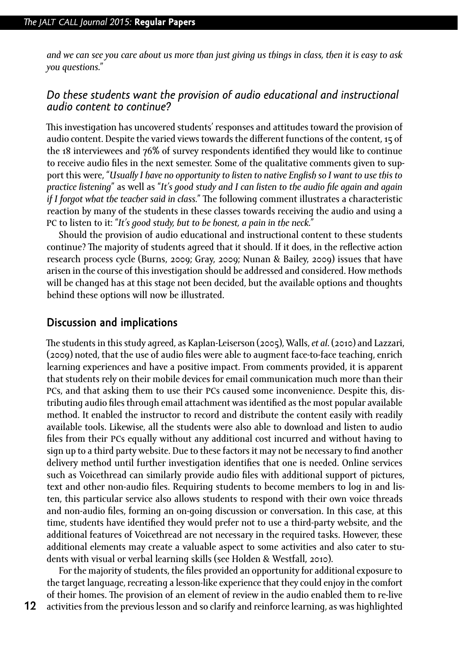*and we can see you care about us more than just giving us things in class, then it is easy to ask you questions.*"

#### *Do these students want the provision of audio educational and instructional audio content to continue?*

This investigation has uncovered students' responses and attitudes toward the provision of audio content. Despite the varied views towards the different functions of the content, 15 of the 18 interviewees and 76% of survey respondents identified they would like to continue to receive audio files in the next semester. Some of the qualitative comments given to support this were, "*Usually I have no opportunity to listen to native English so I want to use this to practice listening*" as well as "*It's good study and I can listen to the audio file again and again if I forgot what the teacher said in class.*" The following comment illustrates a characteristic reaction by many of the students in these classes towards receiving the audio and using a pc to listen to it: "*It's good study, but to be honest, a pain in the neck.*"

Should the provision of audio educational and instructional content to these students continue? The majority of students agreed that it should. If it does, in the reflective action research process cycle (Burns, 2009; Gray, 2009; Nunan & Bailey, 2009) issues that have arisen in the course of this investigation should be addressed and considered. How methods will be changed has at this stage not been decided, but the available options and thoughts behind these options will now be illustrated.

#### **Discussion and implications**

The students in this study agreed, as Kaplan-Leiserson (2005), Walls, *et al*. (2010) and Lazzari, (2009) noted, that the use of audio files were able to augment face-to-face teaching, enrich learning experiences and have a positive impact. From comments provided, it is apparent that students rely on their mobile devices for email communication much more than their pcs, and that asking them to use their pcs caused some inconvenience. Despite this, distributing audio files through email attachment was identified as the most popular available method. It enabled the instructor to record and distribute the content easily with readily available tools. Likewise, all the students were also able to download and listen to audio files from their pcs equally without any additional cost incurred and without having to sign up to a third party website. Due to these factors it may not be necessary to find another delivery method until further investigation identifies that one is needed. Online services such as Voicethread can similarly provide audio files with additional support of pictures, text and other non-audio files. Requiring students to become members to log in and listen, this particular service also allows students to respond with their own voice threads and non-audio files, forming an on-going discussion or conversation. In this case, at this time, students have identified they would prefer not to use a third-party website, and the additional features of Voicethread are not necessary in the required tasks. However, these additional elements may create a valuable aspect to some activities and also cater to students with visual or verbal learning skills (see Holden & Westfall, 2010).

For the majority of students, the files provided an opportunity for additional exposure to the target language, recreating a lesson-like experience that they could enjoy in the comfort of their homes. The provision of an element of review in the audio enabled them to re-live activities from the previous lesson and so clarify and reinforce learning, as was highlighted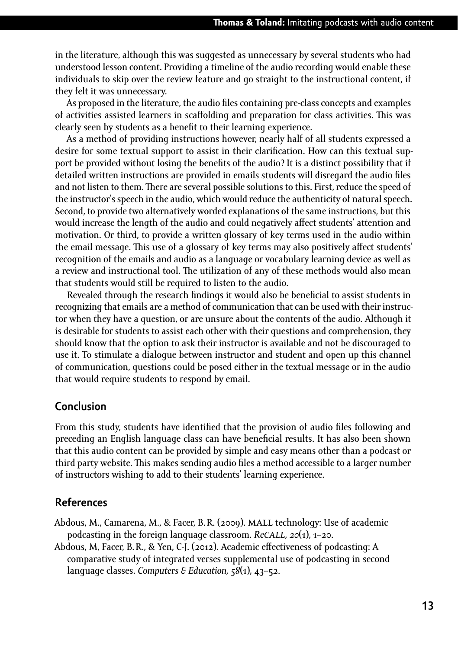in the literature, although this was suggested as unnecessary by several students who had understood lesson content. Providing a timeline of the audio recording would enable these individuals to skip over the review feature and go straight to the instructional content, if they felt it was unnecessary.

As proposed in the literature, the audio files containing pre-class concepts and examples of activities assisted learners in scaffolding and preparation for class activities. This was clearly seen by students as a benefit to their learning experience.

As a method of providing instructions however, nearly half of all students expressed a desire for some textual support to assist in their clarification. How can this textual support be provided without losing the benefits of the audio? It is a distinct possibility that if detailed written instructions are provided in emails students will disregard the audio files and not listen to them. There are several possible solutions to this. First, reduce the speed of the instructor's speech in the audio, which would reduce the authenticity of natural speech. Second, to provide two alternatively worded explanations of the same instructions, but this would increase the length of the audio and could negatively affect students' attention and motivation. Or third, to provide a written glossary of key terms used in the audio within the email message. This use of a glossary of key terms may also positively affect students' recognition of the emails and audio as a language or vocabulary learning device as well as a review and instructional tool. The utilization of any of these methods would also mean that students would still be required to listen to the audio.

Revealed through the research findings it would also be beneficial to assist students in recognizing that emails are a method of communication that can be used with their instructor when they have a question, or are unsure about the contents of the audio. Although it is desirable for students to assist each other with their questions and comprehension, they should know that the option to ask their instructor is available and not be discouraged to use it. To stimulate a dialogue between instructor and student and open up this channel of communication, questions could be posed either in the textual message or in the audio that would require students to respond by email.

#### **Conclusion**

From this study, students have identified that the provision of audio files following and preceding an English language class can have beneficial results. It has also been shown that this audio content can be provided by simple and easy means other than a podcast or third party website. This makes sending audio files a method accessible to a larger number of instructors wishing to add to their students' learning experience.

#### **References**

- Abdous, M., Camarena, M., & Facer, B.R. (2009). mall technology: Use of academic podcasting in the foreign language classroom. *Recall, 20*(1), 1–20.
- Abdous, M, Facer, B.R., & Yen, C-J. (2012). Academic effectiveness of podcasting: A comparative study of integrated verses supplemental use of podcasting in second language classes. *Computers & Education, 58*(1), 43–52.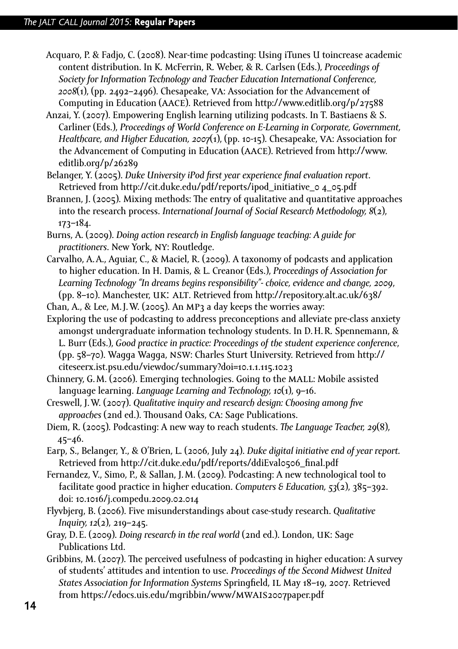- Acquaro, P. & Fadjo, C. (2008). Near-time podcasting: Using iTunes U toincrease academic content distribution. In K. McFerrin, R. Weber, & R. Carlsen (Eds.), *Proceedings of Society for Information Technology and Teacher Education International Conference, 2008*(1), (pp. 2492–2496). Chesapeake, va: Association for the Advancement of Computing in Education (aace). Retrieved from <http://www.editlib.org/p/27588>
- Anzai, Y. (2007). Empowering English learning utilizing podcasts. In T. Bastiaens & S. Carliner (Eds.), *Proceedings of World Conference on E-Learning in Corporate, Government, Healthcare, and Higher Education, 2007*(1), (pp. 10-15). Chesapeake, va: Association for the Advancement of Computing in Education (aace). Retrieved from [http://www.](http://www.editlib.org/p/26289) [editlib.org/p/26289](http://www.editlib.org/p/26289)
- Belanger, Y. (2005). *Duke University iPod first year experience final evaluation report*. Retrieved from http://cit.duke.edu/pdf/reports/ipod\_initiative\_0 4\_05.pdf
- Brannen, J. (2005). Mixing methods: The entry of qualitative and quantitative approaches into the research process. *International Journal of Social Research Methodology, 8*(2), 173–184.
- Burns, A. (2009). *Doing action research in English language teaching: A guide for practitioners*. New York, ny: Routledge.
- Carvalho, A.A., Aguiar, C., & Maciel, R. (2009). A taxonomy of podcasts and application to higher education. In H. Damis, & L. Creanor (Eds.), *Proceedings of Association for Learning Technology "In dreams begins responsibility"- choice, evidence and change, 2009*, (pp. 8–10). Manchester, uk: alt. Retrieved from<http://repository.alt.ac.uk/638/>
- Chan, A., & Lee, M.J. W. (2005). An MP3 a day keeps the worries away:
- Exploring the use of podcasting to address preconceptions and alleviate pre-class anxiety amongst undergraduate information technology students. In D.H.R. Spennemann, & L. Burr (Eds.), *Good practice in practice: Proceedings of the student experience conference*, (pp. 58–70). Wagga Wagga, nsw: Charles Sturt University. Retrieved from [http://](http://citeseerx.ist.psu.edu/viewdoc/summary?doi=10.1.1.115.1023) [citeseerx.ist.psu.edu/viewdoc/summary?doi=10.1.1.115.1023](http://citeseerx.ist.psu.edu/viewdoc/summary?doi=10.1.1.115.1023)
- Chinnery, G.M. (2006). Emerging technologies. Going to the mall: Mobile assisted language learning. *Language Learning and Technology, 10*(1), 9–16.
- Creswell, J.W. (2007). *Qualitative inquiry and research design: Choosing among five approaches* (2nd ed.). Thousand Oaks, ca: Sage Publications.
- Diem, R. (2005). Podcasting: A new way to reach students. *The Language Teacher, 29*(8), 45–46.
- Earp, S., Belanger, Y., & O'Brien, L. (2006, July 24). *Duke digital initiative end of year report.* Retrieved from [http://cit.duke.edu/pdf/reports/ddiEval0506\\_final.pdf](http://cit.duke.edu/pdf/reports/ddiEval0506_final.pdf)
- Fernandez, V., Simo, P., & Sallan, J.M. (2009). Podcasting: A new technological tool to facilitate good practice in higher education. *Computers & Education, 53*(2), 385–392. doi: 10.1016/j.compedu.2009.02.014
- Flyvbjerg, B. (2006). Five misunderstandings about case-study research. *Qualitative Inquiry, 12*(2), 219–245.
- Gray, D.E. (2009). *Doing research in the real world* (2nd ed.). London, uk: Sage Publications Ltd.
- Gribbins, M. (2007). The perceived usefulness of podcasting in higher education: A survey of students' attitudes and intention to use. *Proceedings of the Second Midwest United States Association for Information Systems* Springfield, il May 18–19, 2007. Retrieved from [https://edocs.uis.edu/mgribbin/www/](https://edocs.uis.edu/mgribbin/www/mwais2007paper.pdf)mwais2007paper.pdf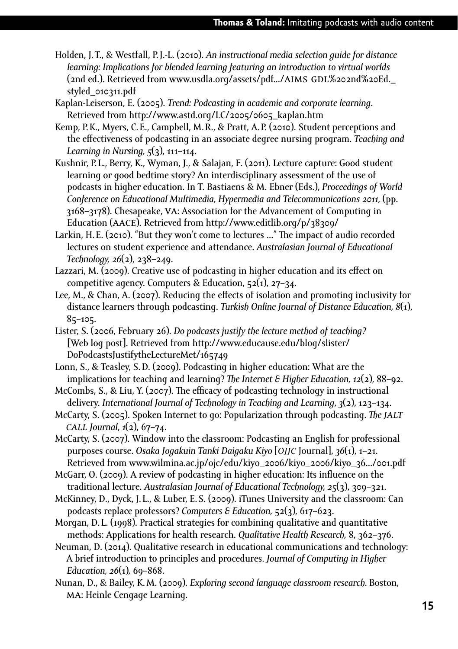- Holden, J.T., & Westfall, P.J.-L. (2010). *An instructional media selection guide for distance learning: Implications for blended learning featuring an introduction to virtual worlds* (2nd ed.). Retrieved from www.usdla.org/assets/pdf.../AIMS GDL%202nd%20Ed. styled\_010311.pdf
- Kaplan-Leiserson, E. (2005). *Trend: Podcasting in academic and corporate learning*. Retrieved from [http://www.astd.org/LC/2005/0605\\_kaplan.htm](http://www.astd.org/LC/2005/0605_kaplan.htm)
- Kemp, P.K., Myers, C.E., Campbell, M.R., & Pratt, A.P. (2010). Student perceptions and the effectiveness of podcasting in an associate degree nursing program. *Teaching and Learning in Nursing, 5*(3), 111–114.
- Kushnir, P.L., Berry, K., Wyman, J., & Salajan, F. (2011). Lecture capture: Good student learning or good bedtime story? An interdisciplinary assessment of the use of podcasts in higher education. In T. Bastiaens & M. Ebner (Eds.), *Proceedings of World Conference on Educational Multimedia, Hypermedia and Telecommunications 2011,* (pp. 3168–3178). Chesapeake, va: Association for the Advancement of Computing in Education (aace). Retrieved from <http://www.editlib.org/p/38309/>
- Larkin, H.E. (2010). "But they won't come to lectures ..." The impact of audio recorded lectures on student experience and attendance. *Australasian Journal of Educational Technology, 26*(2), 238–249.
- Lazzari, M. (2009). Creative use of podcasting in higher education and its effect on competitive agency. Computers & Education,  $52(1)$ ,  $27-34$ .
- Lee, M., & Chan, A. (2007). Reducing the effects of isolation and promoting inclusivity for distance learners through podcasting. *Turkish Online Journal of Distance Education, 8*(1), 85–105.
- Lister, S. (2006, February 26). *Do podcasts justify the lecture method of teaching?* [Web log post]. Retrieved from [http://www.educause.edu/blog/slister/](http://www.educause.edu/blog/slister/DoPodcastsJustifytheLectureMet/165749)  [DoPodcastsJustifytheLectureMet/165749](http://www.educause.edu/blog/slister/DoPodcastsJustifytheLectureMet/165749)
- Lonn, S., & Teasley, S.D. (2009). Podcasting in higher education: What are the implications for teaching and learning? *The Internet & Higher Education, 12*(2), 88–92.
- McCombs, S., & Liu, Y. (2007). The efficacy of podcasting technology in instructional delivery. *International Journal of Technology in Teaching and Learning*, *3*(2), 123–134.
- McCarty, S. (2005). Spoken Internet to go: Popularization through podcasting. *The jalt call Journal*, *1*(2), 67–74.
- McCarty, S. (2007). Window into the classroom: Podcasting an English for professional purposes course. *Osaka Jogakuin Tanki Daigaku Kiyo* [*ojjc* Journal], *36*(1), 1–21. Retrieved from [www.wilmina.ac.jp/ojc/edu/kiyo\\_2006/kiyo\\_2006/kiyo\\_36.../001.pdf](www.wilmina.ac.jp/ojc/edu/kiyo_2006/kiyo_2006/kiyo_36.../001.pdf)
- McGarr, O. (2009). A review of podcasting in higher education: Its influence on the traditional lecture. *Australasian Journal of Educational Technology, 25*(3), 309–321.
- McKinney, D., Dyck, J. L., & Luber, E.S. (2009). iTunes University and the classroom: Can podcasts replace professors? *Computers & Education,* 52(3), 617–623.
- Morgan, D. L. (1998). Practical strategies for combining qualitative and quantitative methods: Applications for health research. *Qualitative Health Research,* 8, 362–376.
- Neuman, D. (2014). Qualitative research in educational communications and technology: A brief introduction to principles and procedures. *Journal of Computing in Higher Education, 26*(1)*,* 69–868.
- Nunan, D., & Bailey, K.M. (2009). *Exploring second language classroom research.* Boston, ma: Heinle Cengage Learning.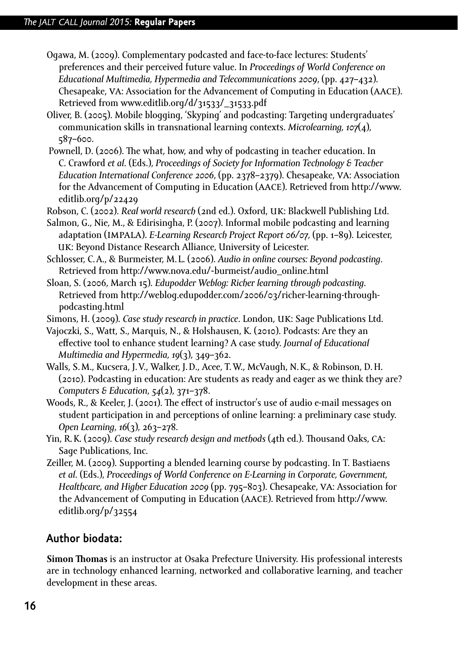- Ogawa, M. (2009). Complementary podcasted and face-to-face lectures: Students' preferences and their perceived future value. In *Proceedings of World Conference on Educational Multimedia, Hypermedia and Telecommunications 2009*, (pp. 427–432). Chesapeake, va: Association for the Advancement of Computing in Education (aace). Retrieved from [www.editlib.org/d/31533/\\_31533.pdf](www.editlib.org/d/31533/_31533.pdf)
- Oliver, B. (2005). Mobile blogging, 'Skyping' and podcasting: Targeting undergraduates' communication skills in transnational learning contexts. *Microlearning, 107*(4), 587–600.
- Pownell, D. (2006). The what, how, and why of podcasting in teacher education. In C. Crawford *et al*. (Eds.), *Proceedings of Society for Information Technology & Teacher Education International Conference 2006*, (pp. 2378–2379). Chesapeake, va: Association for the Advancement of Computing in Education (aace). Retrieved from [http://www.](http://www.editlib.org/p/22429) [editlib.org/p/22429](http://www.editlib.org/p/22429)
- Robson, C. (2002). *Real world research* (2nd ed.). Oxford, uk: Blackwell Publishing Ltd.
- Salmon, G., Nie, M., & Edirisingha, P. (2007). Informal mobile podcasting and learning adaptation (impala). *E-Learning Research Project Report 06/07,* (pp. 1–89). Leicester, uk: Beyond Distance Research Alliance, University of Leicester.
- Schlosser, C.A., & Burmeister, M. L. (2006). *Audio in online courses: Beyond podcasting*. Retrieved from [http://www.nova.edu/~burmeist/audio\\_online.html](http://www.nova.edu/~burmeist/audio_online.html)
- Sloan, S. (2006, March 15). *Edupodder Weblog: Richer learning through podcasting.* Retrieved from [http://weblog.edupodder.com/2006/03/richer-learning-through](http://weblog.edupodder.com/2006/03/richer-learning-through-podcasting.html)[podcasting.html](http://weblog.edupodder.com/2006/03/richer-learning-through-podcasting.html)
- Simons, H. (2009). *Case study research in practice*. London, uk: Sage Publications Ltd.
- Vajoczki, S., Watt, S., Marquis, N., & Holshausen, K. (2010). Podcasts: Are they an effective tool to enhance student learning? A case study. *Journal of Educational Multimedia and Hypermedia, 19*(3), 349–362.
- Walls, S.M., Kucsera, J.V., Walker, J.D., Acee, T.W., McVaugh, N.K., & Robinson, D.H. (2010). Podcasting in education: Are students as ready and eager as we think they are? *Computers & Education*, *54*(2), 371–378.
- Woods, R., & Keeler, J. (2001). The effect of instructor's use of audio e-mail messages on student participation in and perceptions of online learning: a preliminary case study. *Open Learning*, *16*(3), 263–278.
- Yin, R.K. (2009). *Case study research design and methods* (4th ed.). Thousand Oaks, ca: Sage Publications, Inc.
- Zeiller, M. (2009). Supporting a blended learning course by podcasting. In T. Bastiaens *et al*. (Eds.), *Proceedings of World Conference on E-Learning in Corporate, Government, Healthcare, and Higher Education 2009* (pp. 795–803). Chesapeake, va: Association for the Advancement of Computing in Education (aace). Retrieved from [http://www.](http://www.editlib.org/p/32554) [editlib.org/p/32554](http://www.editlib.org/p/32554)

### **Author biodata:**

**Simon Thomas** is an instructor at Osaka Prefecture University. His professional interests are in technology enhanced learning, networked and collaborative learning, and teacher development in these areas.